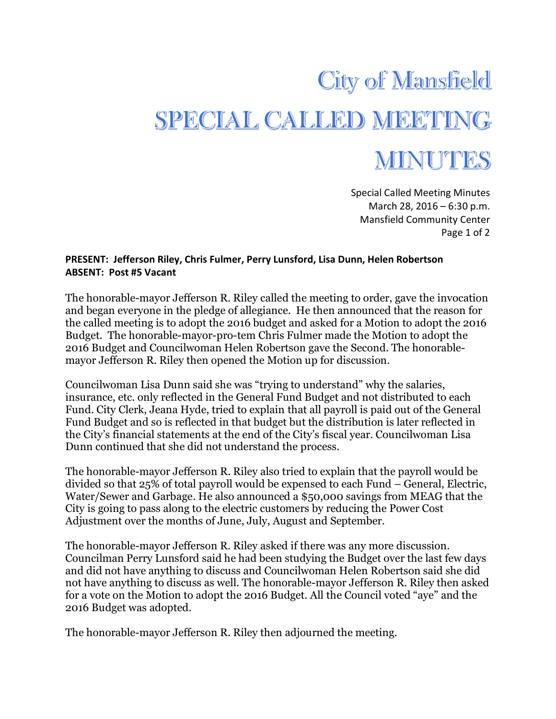## **City of Mansfield** SPECIAL CALLED MEETING MINUTES

Special Called Meeting Minutes March 28, 2016 – 6:30 p.m. Mansfield Community Center Page 1 of 2

## **PRESENT: Jefferson Riley, Chris Fulmer, Perry Lunsford, Lisa Dunn, Helen Robertson ABSENT: Post #5 Vacant**

The honorable-mayor Jefferson R. Riley called the meeting to order, gave the invocation and began everyone in the pledge of allegiance. He then announced that the reason for the called meeting is to adopt the 2016 budget and asked for a Motion to adopt the 2016 Budget. The honorable-mayor-pro-tem Chris Fulmer made the Motion to adopt the 2016 Budget and Councilwoman Helen Robertson gave the Second. The honorablemayor Jefferson R. Riley then opened the Motion up for discussion.

Councilwoman Lisa Dunn said she was "trying to understand" why the salaries, insurance, etc. only reflected in the General Fund Budget and not distributed to each Fund. City Clerk, Jeana Hyde, tried to explain that all payroll is paid out of the General Fund Budget and so is reflected in that budget but the distribution is later reflected in the City's financial statements at the end of the City's fiscal year. Councilwoman Lisa Dunn continued that she did not understand the process.

The honorable-mayor Jefferson R. Riley also tried to explain that the payroll would be divided so that 25% of total payroll would be expensed to each Fund – General, Electric, Water/Sewer and Garbage. He also announced a \$50,000 savings from MEAG that the City is going to pass along to the electric customers by reducing the Power Cost Adjustment over the months of June, July, August and September.

The honorable-mayor Jefferson R. Riley asked if there was any more discussion. Councilman Perry Lunsford said he had been studying the Budget over the last few days and did not have anything to discuss and Councilwoman Helen Robertson said she did not have anything to discuss as well. The honorable-mayor Jefferson R. Riley then asked for a vote on the Motion to adopt the 2016 Budget. All the Council voted "aye" and the 2016 Budget was adopted.

The honorable-mayor Jefferson R. Riley then adjourned the meeting.